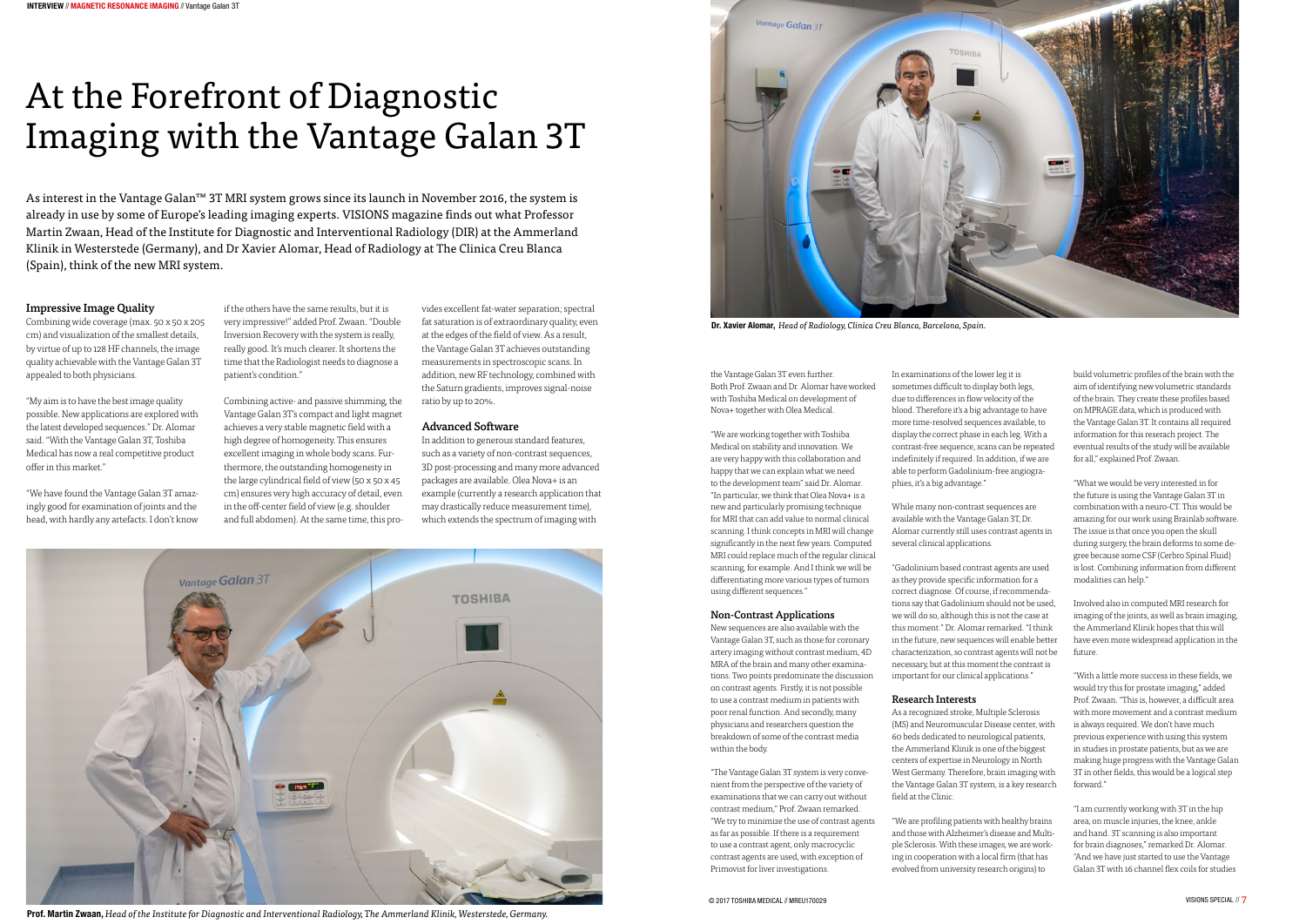# At the Forefront of Diagnostic Imaging with the Vantage Galan 3T

As interest in the Vantage Galan™ 3T MRI system grows since its launch in November 2016, the system is already in use by some of Europe's leading imaging experts. VISIONS magazine finds out what Professor Martin Zwaan, Head of the Institute for Diagnostic and Interventional Radiology (DIR) at the Ammerland Klinik in Westerstede (Germany), and Dr Xavier Alomar, Head of Radiology at The Clinica Creu Blanca (Spain), think of the new MRI system.

#### Impressive Image Quality

Combining wide coverage (max. 50 x 50 x 205 cm) and visualization of the smallest details, by virtue of up to 128 HF channels, the image quality achievable with the Vantage Galan 3T appealed to both physicians.

"My aim is to have the best image quality possible. New applications are explored with the latest developed sequences." Dr. Alomar said. "With the Vantage Galan 3T, Toshiba Medical has now a real competitive product offer in this market."

"We have found the Vantage Galan 3T amazingly good for examination of joints and the head, with hardly any artefacts. I don't know



Prof. Martin Zwaan, *Head of the Institute for Diagnostic and Interventional Radiology, The Ammerland Klinik, Westerstede, Germany.*

if the others have the same results, but it is very impressive!" added Prof. Zwaan. "Double Inversion Recovery with the system is really, really good. It's much clearer. It shortens the time that the Radiologist needs to diagnose a patient's condition."

Combining active- and passive shimming, the Vantage Galan 3T's compact and light magnet achieves a very stable magnetic field with a high degree of homogeneity. This ensures excellent imaging in whole body scans. Furthermore, the outstanding homogeneity in the large cylindrical field of view (50 x 50 x 45 cm) ensures very high accuracy of detail, even in the off-center field of view (e.g. shoulder and full abdomen). At the same time, this pro-

vides excellent fat-water separation; spectral fat saturation is of extraordinary quality, even at the edges of the field of view. As a result, the Vantage Galan 3T achieves outstanding measurements in spectroscopic scans. In addition, new RF technology, combined with the Saturn gradients, improves signal-noise ratio by up to 20%.

#### Advanced Software

In addition to generous standard features, such as a variety of non-contrast sequences, 3D post-processing and many more advanced packages are available. Olea Nova+ is an example (currently a research application that may drastically reduce measurement time), which extends the spectrum of imaging with

the Vantage Galan 3T even further. Both Prof. Zwaan and Dr. Alomar have worked with Toshiba Medical on development of Nova+ together with Olea Medical.

"We are working together with Toshiba Medical on stability and innovation. We are very happy with this collaboration and happy that we can explain what we need to the development team" said Dr. Alomar. "In particular, we think that Olea Nova+ is a new and particularly promising technique for MRI that can add value to normal clinical scanning. I think concepts in MRI will change significantly in the next few years. Computed MRI could replace much of the regular clinical scanning, for example. And I think we will be differentiating more various types of tumors using different sequences."

#### Non-Contrast Applications

New sequences are also available with the Vantage Galan 3T, such as those for coronary artery imaging without contrast medium, 4D MRA of the brain and many other examinations. Two points predominate the discussion on contrast agents. Firstly, it is not possible to use a contrast medium in patients with poor renal function. And secondly, many physicians and researchers question the breakdown of some of the contrast media within the body.

"The Vantage Galan 3T system is very convenient from the perspective of the variety of examinations that we can carry out without contrast medium," Prof. Zwaan remarked. "We try to minimize the use of contrast agents as far as possible. If there is a requirement to use a contrast agent, only macrocyclic contrast agents are used, with exception of Primovist for liver investigations.

In examinations of the lower leg it is sometimes difficult to display both legs, due to differences in flow velocity of the blood. Therefore it's a big advantage to have more time-resolved sequences available, to display the correct phase in each leg. With a contrast-free sequence, scans can be repeated indefinitely if required. In addition, if we are able to perform Gadolinium-free angiographies, it's a big advantage."

While many non-contrast sequences are available with the Vantage Galan 3T, Dr. Alomar currently still uses contrast agents in several clinical applications.

"Gadolinium based contrast agents are used as they provide specific information for a correct diagnose. Of course, if recommendations say that Gadolinium should not be used, we will do so, although this is not the case at this moment." Dr. Alomar remarked. "I think in the future, new sequences will enable better characterization, so contrast agents will not be necessary, but at this moment the contrast is important for our clinical applications."

#### Research Interests

As a recognized stroke, Multiple Sclerosis (MS) and Neuromuscular Disease center, with 60 beds dedicated to neurological patients, the Ammerland Klinik is one of the biggest centers of expertise in Neurology in North West Germany. Therefore, brain imaging with the Vantage Galan 3T system, is a key research field at the Clinic.

"We are profiling patients with healthy brains and those with Alzheimer's disease and Multiple Sclerosis. With these images, we are working in cooperation with a local firm (that has evolved from university research origins) to

build volumetric profiles of the brain with the aim of identifying new volumetric standards of the brain. They create these profiles based on MPRAGE data, which is produced with the Vantage Galan 3T. It contains all required information for this reserach project. The eventual results of the study will be available for all," explained Prof. Zwaan.

"What we would be very interested in for the future is using the Vantage Galan 3T in combination with a neuro-CT. This would be amazing for our work using Brainlab software. The issue is that once you open the skull during surgery, the brain deforms to some degree because some CSF (Cerbro Spinal Fluid) is lost. Combining information from different modalities can help."

Involved also in computed MRI research for imaging of the joints, as well as brain imaging, the Ammerland Klinik hopes that this will have even more widespread application in the future.

"With a little more success in these fields, we would try this for prostate imaging," added Prof. Zwaan. "This is, however, a difficult area with more movement and a contrast medium is always required. We don't have much previous experience with using this system in studies in prostate patients, but as we are making huge progress with the Vantage Galan 3T in other fields, this would be a logical step forward."

"I am currently working with 3T in the hip area, on muscle injuries, the knee, ankle and hand. 3T scanning is also important for brain diagnoses," remarked Dr. Alomar. "And we have just started to use the Vantage Galan 3T with 16 channel flex coils for studies



Dr. Xavier Alomar, *Head of Radiology, Clinica Creu Blanca, Barcelona, Spain.*